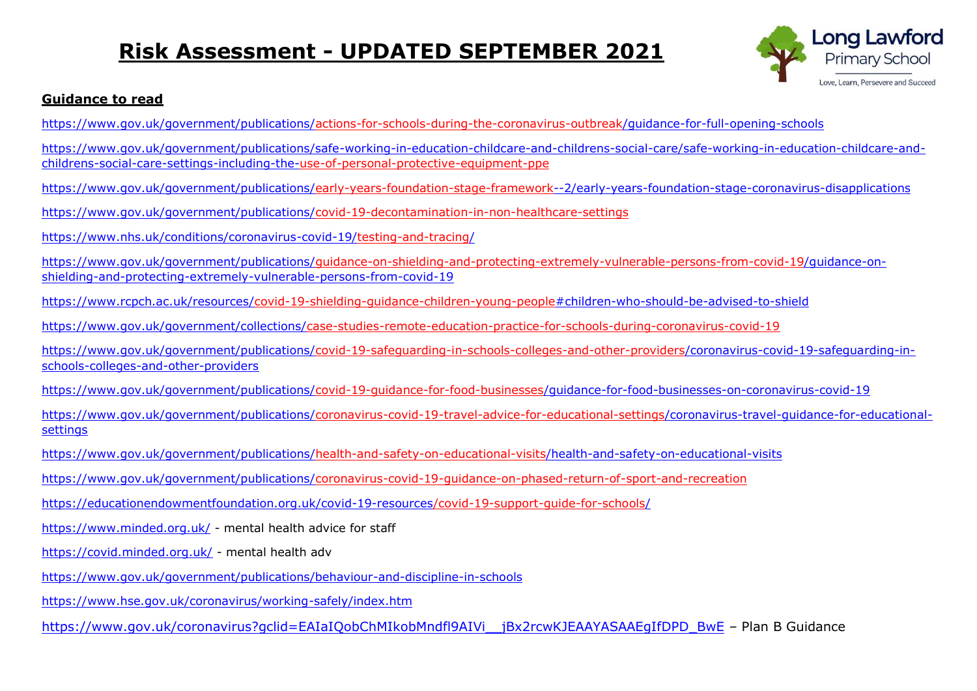# **Risk Assessment - UPDATED SEPTEMBER 2021**



#### **Guidance to read**

<https://www.gov.uk/government/publications/actions-for-schools-during-the-coronavirus-outbreak/guidance-for-full-opening-schools>

[https://www.gov.uk/government/publications/safe-working-in-education-childcare-and-childrens-social-care/safe-working-in-education-childcare-and](https://www.gov.uk/government/publications/safe-working-in-education-childcare-and-childrens-social-care/safe-working-in-education-childcare-and-childrens-social-care-settings-including-the-use-of-personal-protective-equipment-ppe)[childrens-social-care-settings-including-the-use-of-personal-protective-equipment-ppe](https://www.gov.uk/government/publications/safe-working-in-education-childcare-and-childrens-social-care/safe-working-in-education-childcare-and-childrens-social-care-settings-including-the-use-of-personal-protective-equipment-ppe)

<https://www.gov.uk/government/publications/early-years-foundation-stage-framework--2/early-years-foundation-stage-coronavirus-disapplications>

<https://www.gov.uk/government/publications/covid-19-decontamination-in-non-healthcare-settings>

<https://www.nhs.uk/conditions/coronavirus-covid-19/testing-and-tracing/>

[https://www.gov.uk/government/publications/guidance-on-shielding-and-protecting-extremely-vulnerable-persons-from-covid-19/guidance-on](https://www.gov.uk/government/publications/guidance-on-shielding-and-protecting-extremely-vulnerable-persons-from-covid-19/guidance-on-shielding-and-protecting-extremely-vulnerable-persons-from-covid-19)[shielding-and-protecting-extremely-vulnerable-persons-from-covid-19](https://www.gov.uk/government/publications/guidance-on-shielding-and-protecting-extremely-vulnerable-persons-from-covid-19/guidance-on-shielding-and-protecting-extremely-vulnerable-persons-from-covid-19)

<https://www.rcpch.ac.uk/resources/covid-19-shielding-guidance-children-young-people#children-who-should-be-advised-to-shield>

<https://www.gov.uk/government/collections/case-studies-remote-education-practice-for-schools-during-coronavirus-covid-19>

[https://www.gov.uk/government/publications/covid-19-safeguarding-in-schools-colleges-and-other-providers/coronavirus-covid-19-safeguarding-in](https://www.gov.uk/government/publications/covid-19-safeguarding-in-schools-colleges-and-other-providers/coronavirus-covid-19-safeguarding-in-schools-colleges-and-other-providers)[schools-colleges-and-other-providers](https://www.gov.uk/government/publications/covid-19-safeguarding-in-schools-colleges-and-other-providers/coronavirus-covid-19-safeguarding-in-schools-colleges-and-other-providers)

<https://www.gov.uk/government/publications/covid-19-guidance-for-food-businesses/guidance-for-food-businesses-on-coronavirus-covid-19>

[https://www.gov.uk/government/publications/coronavirus-covid-19-travel-advice-for-educational-settings/coronavirus-travel-guidance-for-educational](https://www.gov.uk/government/publications/coronavirus-covid-19-travel-advice-for-educational-settings/coronavirus-travel-guidance-for-educational-settings)[settings](https://www.gov.uk/government/publications/coronavirus-covid-19-travel-advice-for-educational-settings/coronavirus-travel-guidance-for-educational-settings)

<https://www.gov.uk/government/publications/health-and-safety-on-educational-visits/health-and-safety-on-educational-visits>

<https://www.gov.uk/government/publications/coronavirus-covid-19-guidance-on-phased-return-of-sport-and-recreation>

<https://educationendowmentfoundation.org.uk/covid-19-resources/covid-19-support-guide-for-schools/>

<https://www.minded.org.uk/> - mental health advice for staff

<https://covid.minded.org.uk/> - mental health adv

<https://www.gov.uk/government/publications/behaviour-and-discipline-in-schools>

<https://www.hse.gov.uk/coronavirus/working-safely/index.htm>

https://www.gov.uk/coronavirus?gclid=EAIaIOobChMIkobMndfl9AIVi jBx2rcwKJEAAYASAAEgIfDPD\_BwE - Plan B Guidance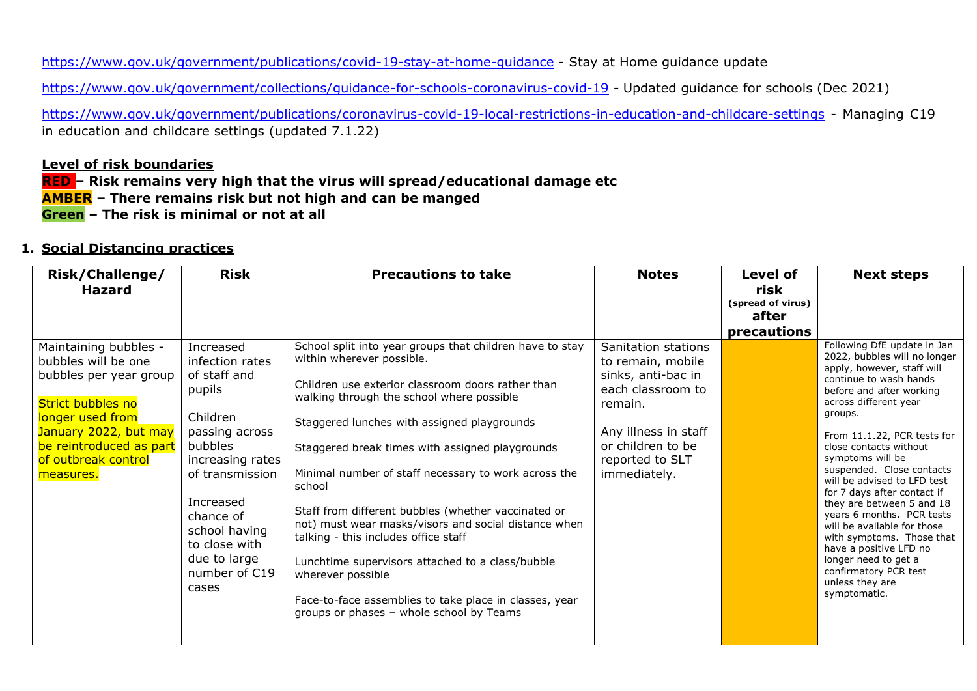<https://www.gov.uk/government/publications/covid-19-stay-at-home-guidance> - Stay at Home guidance update

<https://www.gov.uk/government/collections/guidance-for-schools-coronavirus-covid-19> - Updated guidance for schools (Dec 2021)

<https://www.gov.uk/government/publications/coronavirus-covid-19-local-restrictions-in-education-and-childcare-settings> - Managing C19 in education and childcare settings (updated 7.1.22)

#### **Level of risk boundaries**

**RED – Risk remains very high that the virus will spread/educational damage etc AMBER – There remains risk but not high and can be manged Green – The risk is minimal or not at all** 

#### **1. Social Distancing practices**

| Risk/Challenge/<br><b>Hazard</b>                                                                                                                                                                        | <b>Risk</b>                                                                                                                                                                                                                                  | <b>Precautions to take</b>                                                                                                                                                                                                                                                                                                                                                                                                                                                                                                                                                                                                                                                                        | <b>Notes</b>                                                                                                                                                                   | Level of<br>risk<br>(spread of virus)<br>after<br>precautions | <b>Next steps</b>                                                                                                                                                                                                                                                                                                                                                                                                                                                                                                                                                                               |
|---------------------------------------------------------------------------------------------------------------------------------------------------------------------------------------------------------|----------------------------------------------------------------------------------------------------------------------------------------------------------------------------------------------------------------------------------------------|---------------------------------------------------------------------------------------------------------------------------------------------------------------------------------------------------------------------------------------------------------------------------------------------------------------------------------------------------------------------------------------------------------------------------------------------------------------------------------------------------------------------------------------------------------------------------------------------------------------------------------------------------------------------------------------------------|--------------------------------------------------------------------------------------------------------------------------------------------------------------------------------|---------------------------------------------------------------|-------------------------------------------------------------------------------------------------------------------------------------------------------------------------------------------------------------------------------------------------------------------------------------------------------------------------------------------------------------------------------------------------------------------------------------------------------------------------------------------------------------------------------------------------------------------------------------------------|
| Maintaining bubbles -<br>bubbles will be one<br>bubbles per year group<br>Strict bubbles no<br>longer used from<br>January 2022, but may<br>be reintroduced as part<br>of outbreak control<br>measures. | Increased<br>infection rates<br>of staff and<br>pupils<br>Children<br>passing across<br>bubbles<br>increasing rates<br>of transmission<br>Increased<br>chance of<br>school having<br>to close with<br>due to large<br>number of C19<br>cases | School split into year groups that children have to stay<br>within wherever possible.<br>Children use exterior classroom doors rather than<br>walking through the school where possible<br>Staggered lunches with assigned playgrounds<br>Staggered break times with assigned playgrounds<br>Minimal number of staff necessary to work across the<br>school<br>Staff from different bubbles (whether vaccinated or<br>not) must wear masks/visors and social distance when<br>talking - this includes office staff<br>Lunchtime supervisors attached to a class/bubble<br>wherever possible<br>Face-to-face assemblies to take place in classes, year<br>groups or phases - whole school by Teams | Sanitation stations<br>to remain, mobile<br>sinks, anti-bac in<br>each classroom to<br>remain.<br>Any illness in staff<br>or children to be<br>reported to SLT<br>immediately. |                                                               | Following DfE update in Jan<br>2022, bubbles will no longer<br>apply, however, staff will<br>continue to wash hands<br>before and after working<br>across different year<br>groups.<br>From 11.1.22, PCR tests for<br>close contacts without<br>symptoms will be<br>suspended. Close contacts<br>will be advised to LFD test<br>for 7 days after contact if<br>they are between 5 and 18<br>years 6 months. PCR tests<br>will be available for those<br>with symptoms. Those that<br>have a positive LFD no<br>longer need to get a<br>confirmatory PCR test<br>unless they are<br>symptomatic. |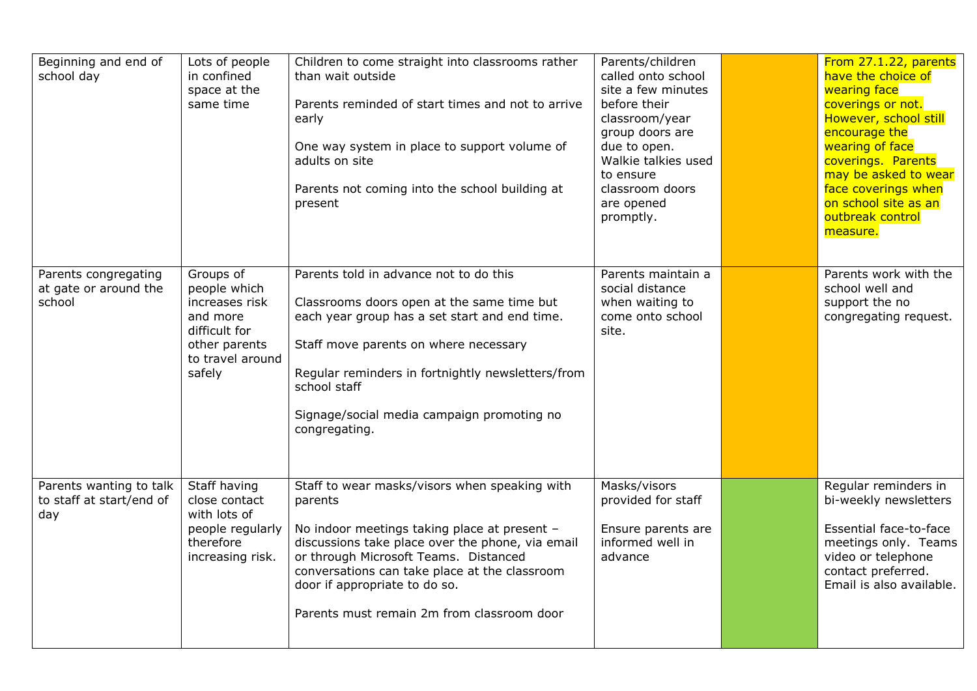| Beginning and end of<br>school day                         | Lots of people<br>in confined<br>space at the<br>same time                                                              | Children to come straight into classrooms rather<br>than wait outside<br>Parents reminded of start times and not to arrive<br>early<br>One way system in place to support volume of<br>adults on site<br>Parents not coming into the school building at<br>present                                                                    | Parents/children<br>called onto school<br>site a few minutes<br>before their<br>classroom/year<br>group doors are<br>due to open.<br>Walkie talkies used<br>to ensure<br>classroom doors<br>are opened<br>promptly. | From 27.1.22, parents<br>have the choice of<br>wearing face<br>coverings or not.<br>However, school still<br>encourage the<br>wearing of face<br>coverings. Parents<br>may be asked to wear<br>face coverings when<br>on school site as an<br>outbreak control<br>measure. |
|------------------------------------------------------------|-------------------------------------------------------------------------------------------------------------------------|---------------------------------------------------------------------------------------------------------------------------------------------------------------------------------------------------------------------------------------------------------------------------------------------------------------------------------------|---------------------------------------------------------------------------------------------------------------------------------------------------------------------------------------------------------------------|----------------------------------------------------------------------------------------------------------------------------------------------------------------------------------------------------------------------------------------------------------------------------|
| Parents congregating<br>at gate or around the<br>school    | Groups of<br>people which<br>increases risk<br>and more<br>difficult for<br>other parents<br>to travel around<br>safely | Parents told in advance not to do this<br>Classrooms doors open at the same time but<br>each year group has a set start and end time.<br>Staff move parents on where necessary<br>Regular reminders in fortnightly newsletters/from<br>school staff<br>Signage/social media campaign promoting no<br>congregating.                    | Parents maintain a<br>social distance<br>when waiting to<br>come onto school<br>site.                                                                                                                               | Parents work with the<br>school well and<br>support the no<br>congregating request.                                                                                                                                                                                        |
| Parents wanting to talk<br>to staff at start/end of<br>day | Staff having<br>close contact<br>with lots of<br>people regularly<br>therefore<br>increasing risk.                      | Staff to wear masks/visors when speaking with<br>parents<br>No indoor meetings taking place at present -<br>discussions take place over the phone, via email<br>or through Microsoft Teams. Distanced<br>conversations can take place at the classroom<br>door if appropriate to do so.<br>Parents must remain 2m from classroom door | Masks/visors<br>provided for staff<br>Ensure parents are<br>informed well in<br>advance                                                                                                                             | Regular reminders in<br>bi-weekly newsletters<br>Essential face-to-face<br>meetings only. Teams<br>video or telephone<br>contact preferred.<br>Email is also available.                                                                                                    |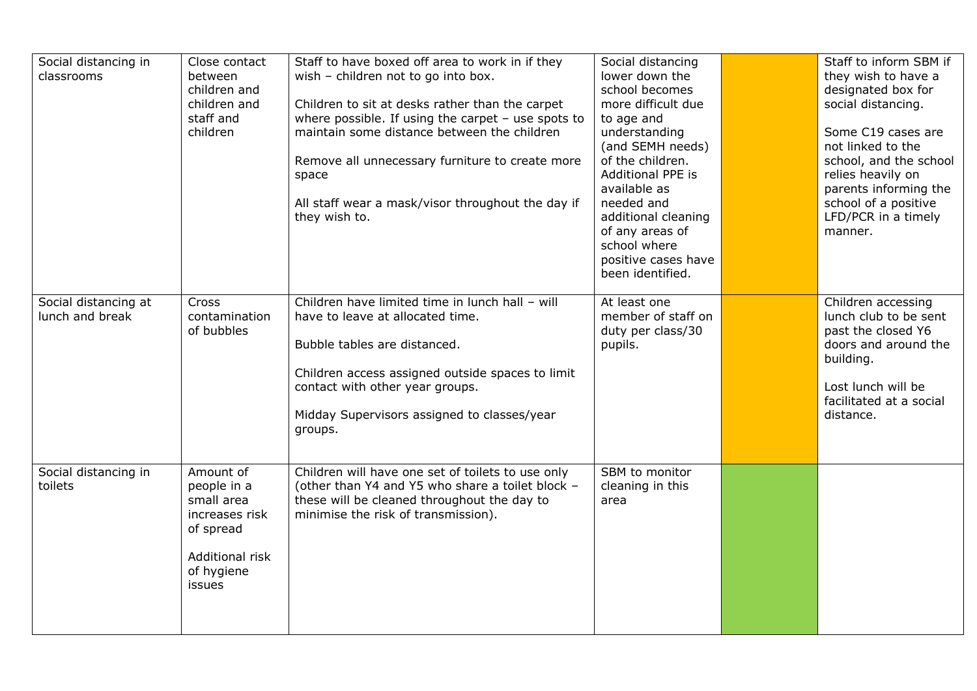| Social distancing in<br>classrooms      | Close contact<br>between<br>children and<br>children and<br>staff and<br>children                                | Staff to have boxed off area to work in if they<br>wish - children not to go into box.<br>Children to sit at desks rather than the carpet<br>where possible. If using the carpet $-$ use spots to<br>maintain some distance between the children<br>Remove all unnecessary furniture to create more<br>space<br>All staff wear a mask/visor throughout the day if<br>they wish to. | Social distancing<br>lower down the<br>school becomes<br>more difficult due<br>to age and<br>understanding<br>(and SEMH needs)<br>of the children.<br>Additional PPE is<br>available as<br>needed and<br>additional cleaning<br>of any areas of<br>school where<br>positive cases have<br>been identified. | Staff to inform SBM if<br>they wish to have a<br>designated box for<br>social distancing.<br>Some C19 cases are<br>not linked to the<br>school, and the school<br>relies heavily on<br>parents informing the<br>school of a positive<br>LFD/PCR in a timely<br>manner. |
|-----------------------------------------|------------------------------------------------------------------------------------------------------------------|------------------------------------------------------------------------------------------------------------------------------------------------------------------------------------------------------------------------------------------------------------------------------------------------------------------------------------------------------------------------------------|------------------------------------------------------------------------------------------------------------------------------------------------------------------------------------------------------------------------------------------------------------------------------------------------------------|------------------------------------------------------------------------------------------------------------------------------------------------------------------------------------------------------------------------------------------------------------------------|
| Social distancing at<br>lunch and break | <b>Cross</b><br>contamination<br>of bubbles                                                                      | Children have limited time in lunch hall - will<br>have to leave at allocated time.<br>Bubble tables are distanced.<br>Children access assigned outside spaces to limit<br>contact with other year groups.<br>Midday Supervisors assigned to classes/year<br>groups.                                                                                                               | At least one<br>member of staff on<br>duty per class/30<br>pupils.                                                                                                                                                                                                                                         | Children accessing<br>lunch club to be sent<br>past the closed Y6<br>doors and around the<br>building.<br>Lost lunch will be<br>facilitated at a social<br>distance.                                                                                                   |
| Social distancing in<br>toilets         | Amount of<br>people in a<br>small area<br>increases risk<br>of spread<br>Additional risk<br>of hygiene<br>issues | Children will have one set of toilets to use only<br>(other than Y4 and Y5 who share a toilet block -<br>these will be cleaned throughout the day to<br>minimise the risk of transmission).                                                                                                                                                                                        | SBM to monitor<br>cleaning in this<br>area                                                                                                                                                                                                                                                                 |                                                                                                                                                                                                                                                                        |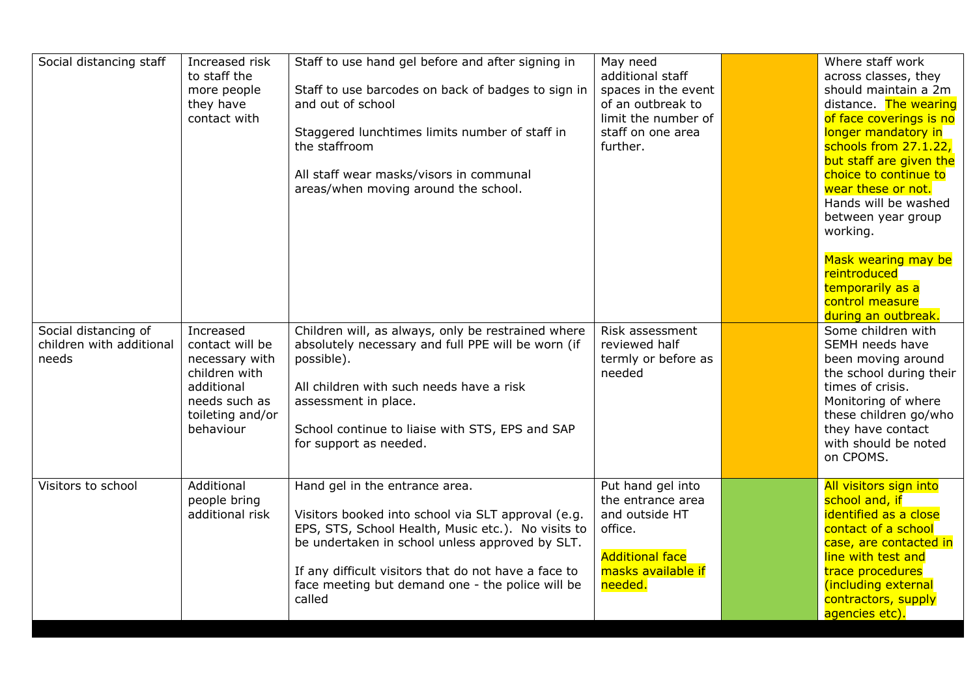| to staff the<br>additional staff<br>across classes, they<br>Staff to use barcodes on back of badges to sign in<br>should maintain a 2m<br>spaces in the event<br>more people<br>and out of school<br>of an outbreak to<br>distance. The wearing<br>they have<br>contact with<br>limit the number of<br>of face coverings is no<br>Staggered lunchtimes limits number of staff in<br>staff on one area<br>longer mandatory in<br>the staffroom<br>further.<br>schools from 27.1.22,<br>but staff are given the<br>choice to continue to<br>All staff wear masks/visors in communal<br>wear these or not.<br>areas/when moving around the school.<br>Hands will be washed<br>between year group<br>working.<br>Mask wearing may be<br>reintroduced<br>temporarily as a<br>control measure<br>during an outbreak.<br>Some children with<br>Increased<br>Children will, as always, only be restrained where<br>Risk assessment<br>contact will be<br>absolutely necessary and full PPE will be worn (if<br>reviewed half<br>SEMH needs have<br>termly or before as<br>necessary with<br>possible).<br>been moving around<br>children with<br>the school during their<br>needed<br>All children with such needs have a risk<br>additional<br>times of crisis.<br>needs such as<br>assessment in place.<br>Monitoring of where<br>toileting and/or<br>these children go/who<br>they have contact<br>behaviour<br>School continue to liaise with STS, EPS and SAP<br>with should be noted<br>for support as needed.<br>on CPOMS.<br>Visitors to school<br>Additional<br>Put hand gel into<br>All visitors sign into<br>Hand gel in the entrance area.<br>the entrance area<br>school and, if<br>people bring<br>identified as a close<br>and outside HT<br>additional risk<br>Visitors booked into school via SLT approval (e.g.<br>EPS, STS, School Health, Music etc.). No visits to<br>office.<br>contact of a school<br>be undertaken in school unless approved by SLT.<br>case, are contacted in<br><b>Additional face</b><br>line with test and<br>If any difficult visitors that do not have a face to<br>masks available if<br>trace procedures | Social distancing staff  | Increased risk | Staff to use hand gel before and after signing in | May need | Where staff work    |
|--------------------------------------------------------------------------------------------------------------------------------------------------------------------------------------------------------------------------------------------------------------------------------------------------------------------------------------------------------------------------------------------------------------------------------------------------------------------------------------------------------------------------------------------------------------------------------------------------------------------------------------------------------------------------------------------------------------------------------------------------------------------------------------------------------------------------------------------------------------------------------------------------------------------------------------------------------------------------------------------------------------------------------------------------------------------------------------------------------------------------------------------------------------------------------------------------------------------------------------------------------------------------------------------------------------------------------------------------------------------------------------------------------------------------------------------------------------------------------------------------------------------------------------------------------------------------------------------------------------------------------------------------------------------------------------------------------------------------------------------------------------------------------------------------------------------------------------------------------------------------------------------------------------------------------------------------------------------------------------------------------------------------------------------------------------------------------------------------------------------------------------------------|--------------------------|----------------|---------------------------------------------------|----------|---------------------|
|                                                                                                                                                                                                                                                                                                                                                                                                                                                                                                                                                                                                                                                                                                                                                                                                                                                                                                                                                                                                                                                                                                                                                                                                                                                                                                                                                                                                                                                                                                                                                                                                                                                                                                                                                                                                                                                                                                                                                                                                                                                                                                                                                  |                          |                |                                                   |          |                     |
|                                                                                                                                                                                                                                                                                                                                                                                                                                                                                                                                                                                                                                                                                                                                                                                                                                                                                                                                                                                                                                                                                                                                                                                                                                                                                                                                                                                                                                                                                                                                                                                                                                                                                                                                                                                                                                                                                                                                                                                                                                                                                                                                                  |                          |                |                                                   |          |                     |
|                                                                                                                                                                                                                                                                                                                                                                                                                                                                                                                                                                                                                                                                                                                                                                                                                                                                                                                                                                                                                                                                                                                                                                                                                                                                                                                                                                                                                                                                                                                                                                                                                                                                                                                                                                                                                                                                                                                                                                                                                                                                                                                                                  |                          |                |                                                   |          |                     |
|                                                                                                                                                                                                                                                                                                                                                                                                                                                                                                                                                                                                                                                                                                                                                                                                                                                                                                                                                                                                                                                                                                                                                                                                                                                                                                                                                                                                                                                                                                                                                                                                                                                                                                                                                                                                                                                                                                                                                                                                                                                                                                                                                  |                          |                |                                                   |          |                     |
|                                                                                                                                                                                                                                                                                                                                                                                                                                                                                                                                                                                                                                                                                                                                                                                                                                                                                                                                                                                                                                                                                                                                                                                                                                                                                                                                                                                                                                                                                                                                                                                                                                                                                                                                                                                                                                                                                                                                                                                                                                                                                                                                                  |                          |                |                                                   |          |                     |
|                                                                                                                                                                                                                                                                                                                                                                                                                                                                                                                                                                                                                                                                                                                                                                                                                                                                                                                                                                                                                                                                                                                                                                                                                                                                                                                                                                                                                                                                                                                                                                                                                                                                                                                                                                                                                                                                                                                                                                                                                                                                                                                                                  |                          |                |                                                   |          |                     |
|                                                                                                                                                                                                                                                                                                                                                                                                                                                                                                                                                                                                                                                                                                                                                                                                                                                                                                                                                                                                                                                                                                                                                                                                                                                                                                                                                                                                                                                                                                                                                                                                                                                                                                                                                                                                                                                                                                                                                                                                                                                                                                                                                  |                          |                |                                                   |          |                     |
|                                                                                                                                                                                                                                                                                                                                                                                                                                                                                                                                                                                                                                                                                                                                                                                                                                                                                                                                                                                                                                                                                                                                                                                                                                                                                                                                                                                                                                                                                                                                                                                                                                                                                                                                                                                                                                                                                                                                                                                                                                                                                                                                                  |                          |                |                                                   |          |                     |
|                                                                                                                                                                                                                                                                                                                                                                                                                                                                                                                                                                                                                                                                                                                                                                                                                                                                                                                                                                                                                                                                                                                                                                                                                                                                                                                                                                                                                                                                                                                                                                                                                                                                                                                                                                                                                                                                                                                                                                                                                                                                                                                                                  |                          |                |                                                   |          |                     |
|                                                                                                                                                                                                                                                                                                                                                                                                                                                                                                                                                                                                                                                                                                                                                                                                                                                                                                                                                                                                                                                                                                                                                                                                                                                                                                                                                                                                                                                                                                                                                                                                                                                                                                                                                                                                                                                                                                                                                                                                                                                                                                                                                  |                          |                |                                                   |          |                     |
|                                                                                                                                                                                                                                                                                                                                                                                                                                                                                                                                                                                                                                                                                                                                                                                                                                                                                                                                                                                                                                                                                                                                                                                                                                                                                                                                                                                                                                                                                                                                                                                                                                                                                                                                                                                                                                                                                                                                                                                                                                                                                                                                                  |                          |                |                                                   |          |                     |
|                                                                                                                                                                                                                                                                                                                                                                                                                                                                                                                                                                                                                                                                                                                                                                                                                                                                                                                                                                                                                                                                                                                                                                                                                                                                                                                                                                                                                                                                                                                                                                                                                                                                                                                                                                                                                                                                                                                                                                                                                                                                                                                                                  |                          |                |                                                   |          |                     |
|                                                                                                                                                                                                                                                                                                                                                                                                                                                                                                                                                                                                                                                                                                                                                                                                                                                                                                                                                                                                                                                                                                                                                                                                                                                                                                                                                                                                                                                                                                                                                                                                                                                                                                                                                                                                                                                                                                                                                                                                                                                                                                                                                  |                          |                |                                                   |          |                     |
|                                                                                                                                                                                                                                                                                                                                                                                                                                                                                                                                                                                                                                                                                                                                                                                                                                                                                                                                                                                                                                                                                                                                                                                                                                                                                                                                                                                                                                                                                                                                                                                                                                                                                                                                                                                                                                                                                                                                                                                                                                                                                                                                                  |                          |                |                                                   |          |                     |
|                                                                                                                                                                                                                                                                                                                                                                                                                                                                                                                                                                                                                                                                                                                                                                                                                                                                                                                                                                                                                                                                                                                                                                                                                                                                                                                                                                                                                                                                                                                                                                                                                                                                                                                                                                                                                                                                                                                                                                                                                                                                                                                                                  |                          |                |                                                   |          |                     |
|                                                                                                                                                                                                                                                                                                                                                                                                                                                                                                                                                                                                                                                                                                                                                                                                                                                                                                                                                                                                                                                                                                                                                                                                                                                                                                                                                                                                                                                                                                                                                                                                                                                                                                                                                                                                                                                                                                                                                                                                                                                                                                                                                  |                          |                |                                                   |          |                     |
|                                                                                                                                                                                                                                                                                                                                                                                                                                                                                                                                                                                                                                                                                                                                                                                                                                                                                                                                                                                                                                                                                                                                                                                                                                                                                                                                                                                                                                                                                                                                                                                                                                                                                                                                                                                                                                                                                                                                                                                                                                                                                                                                                  |                          |                |                                                   |          |                     |
|                                                                                                                                                                                                                                                                                                                                                                                                                                                                                                                                                                                                                                                                                                                                                                                                                                                                                                                                                                                                                                                                                                                                                                                                                                                                                                                                                                                                                                                                                                                                                                                                                                                                                                                                                                                                                                                                                                                                                                                                                                                                                                                                                  | Social distancing of     |                |                                                   |          |                     |
|                                                                                                                                                                                                                                                                                                                                                                                                                                                                                                                                                                                                                                                                                                                                                                                                                                                                                                                                                                                                                                                                                                                                                                                                                                                                                                                                                                                                                                                                                                                                                                                                                                                                                                                                                                                                                                                                                                                                                                                                                                                                                                                                                  | children with additional |                |                                                   |          |                     |
|                                                                                                                                                                                                                                                                                                                                                                                                                                                                                                                                                                                                                                                                                                                                                                                                                                                                                                                                                                                                                                                                                                                                                                                                                                                                                                                                                                                                                                                                                                                                                                                                                                                                                                                                                                                                                                                                                                                                                                                                                                                                                                                                                  | needs                    |                |                                                   |          |                     |
|                                                                                                                                                                                                                                                                                                                                                                                                                                                                                                                                                                                                                                                                                                                                                                                                                                                                                                                                                                                                                                                                                                                                                                                                                                                                                                                                                                                                                                                                                                                                                                                                                                                                                                                                                                                                                                                                                                                                                                                                                                                                                                                                                  |                          |                |                                                   |          |                     |
|                                                                                                                                                                                                                                                                                                                                                                                                                                                                                                                                                                                                                                                                                                                                                                                                                                                                                                                                                                                                                                                                                                                                                                                                                                                                                                                                                                                                                                                                                                                                                                                                                                                                                                                                                                                                                                                                                                                                                                                                                                                                                                                                                  |                          |                |                                                   |          |                     |
|                                                                                                                                                                                                                                                                                                                                                                                                                                                                                                                                                                                                                                                                                                                                                                                                                                                                                                                                                                                                                                                                                                                                                                                                                                                                                                                                                                                                                                                                                                                                                                                                                                                                                                                                                                                                                                                                                                                                                                                                                                                                                                                                                  |                          |                |                                                   |          |                     |
|                                                                                                                                                                                                                                                                                                                                                                                                                                                                                                                                                                                                                                                                                                                                                                                                                                                                                                                                                                                                                                                                                                                                                                                                                                                                                                                                                                                                                                                                                                                                                                                                                                                                                                                                                                                                                                                                                                                                                                                                                                                                                                                                                  |                          |                |                                                   |          |                     |
|                                                                                                                                                                                                                                                                                                                                                                                                                                                                                                                                                                                                                                                                                                                                                                                                                                                                                                                                                                                                                                                                                                                                                                                                                                                                                                                                                                                                                                                                                                                                                                                                                                                                                                                                                                                                                                                                                                                                                                                                                                                                                                                                                  |                          |                |                                                   |          |                     |
|                                                                                                                                                                                                                                                                                                                                                                                                                                                                                                                                                                                                                                                                                                                                                                                                                                                                                                                                                                                                                                                                                                                                                                                                                                                                                                                                                                                                                                                                                                                                                                                                                                                                                                                                                                                                                                                                                                                                                                                                                                                                                                                                                  |                          |                |                                                   |          |                     |
|                                                                                                                                                                                                                                                                                                                                                                                                                                                                                                                                                                                                                                                                                                                                                                                                                                                                                                                                                                                                                                                                                                                                                                                                                                                                                                                                                                                                                                                                                                                                                                                                                                                                                                                                                                                                                                                                                                                                                                                                                                                                                                                                                  |                          |                |                                                   |          |                     |
|                                                                                                                                                                                                                                                                                                                                                                                                                                                                                                                                                                                                                                                                                                                                                                                                                                                                                                                                                                                                                                                                                                                                                                                                                                                                                                                                                                                                                                                                                                                                                                                                                                                                                                                                                                                                                                                                                                                                                                                                                                                                                                                                                  |                          |                |                                                   |          |                     |
|                                                                                                                                                                                                                                                                                                                                                                                                                                                                                                                                                                                                                                                                                                                                                                                                                                                                                                                                                                                                                                                                                                                                                                                                                                                                                                                                                                                                                                                                                                                                                                                                                                                                                                                                                                                                                                                                                                                                                                                                                                                                                                                                                  |                          |                |                                                   |          |                     |
|                                                                                                                                                                                                                                                                                                                                                                                                                                                                                                                                                                                                                                                                                                                                                                                                                                                                                                                                                                                                                                                                                                                                                                                                                                                                                                                                                                                                                                                                                                                                                                                                                                                                                                                                                                                                                                                                                                                                                                                                                                                                                                                                                  |                          |                |                                                   |          |                     |
|                                                                                                                                                                                                                                                                                                                                                                                                                                                                                                                                                                                                                                                                                                                                                                                                                                                                                                                                                                                                                                                                                                                                                                                                                                                                                                                                                                                                                                                                                                                                                                                                                                                                                                                                                                                                                                                                                                                                                                                                                                                                                                                                                  |                          |                |                                                   |          |                     |
|                                                                                                                                                                                                                                                                                                                                                                                                                                                                                                                                                                                                                                                                                                                                                                                                                                                                                                                                                                                                                                                                                                                                                                                                                                                                                                                                                                                                                                                                                                                                                                                                                                                                                                                                                                                                                                                                                                                                                                                                                                                                                                                                                  |                          |                |                                                   |          |                     |
|                                                                                                                                                                                                                                                                                                                                                                                                                                                                                                                                                                                                                                                                                                                                                                                                                                                                                                                                                                                                                                                                                                                                                                                                                                                                                                                                                                                                                                                                                                                                                                                                                                                                                                                                                                                                                                                                                                                                                                                                                                                                                                                                                  |                          |                |                                                   |          |                     |
|                                                                                                                                                                                                                                                                                                                                                                                                                                                                                                                                                                                                                                                                                                                                                                                                                                                                                                                                                                                                                                                                                                                                                                                                                                                                                                                                                                                                                                                                                                                                                                                                                                                                                                                                                                                                                                                                                                                                                                                                                                                                                                                                                  |                          |                |                                                   |          |                     |
|                                                                                                                                                                                                                                                                                                                                                                                                                                                                                                                                                                                                                                                                                                                                                                                                                                                                                                                                                                                                                                                                                                                                                                                                                                                                                                                                                                                                                                                                                                                                                                                                                                                                                                                                                                                                                                                                                                                                                                                                                                                                                                                                                  |                          |                | face meeting but demand one - the police will be  | needed.  | (including external |
| called<br>contractors, supply                                                                                                                                                                                                                                                                                                                                                                                                                                                                                                                                                                                                                                                                                                                                                                                                                                                                                                                                                                                                                                                                                                                                                                                                                                                                                                                                                                                                                                                                                                                                                                                                                                                                                                                                                                                                                                                                                                                                                                                                                                                                                                                    |                          |                |                                                   |          |                     |
| agencies etc).                                                                                                                                                                                                                                                                                                                                                                                                                                                                                                                                                                                                                                                                                                                                                                                                                                                                                                                                                                                                                                                                                                                                                                                                                                                                                                                                                                                                                                                                                                                                                                                                                                                                                                                                                                                                                                                                                                                                                                                                                                                                                                                                   |                          |                |                                                   |          |                     |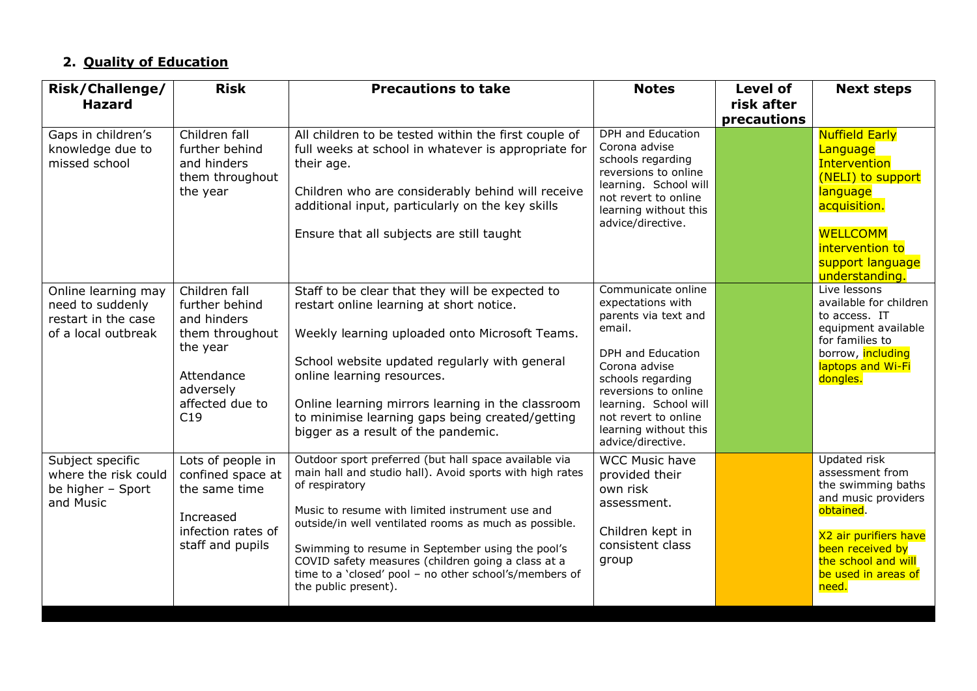### **2. Quality of Education**

| Risk/Challenge/                                                                       | <b>Risk</b>                                                                                                                        | <b>Precautions to take</b>                                                                                                                                                                                                                                                                                                                                                                                                                  | <b>Notes</b>                                                                                                                                                                                                                                                       | <b>Level of</b> | <b>Next steps</b>                                                                                                                                                                             |
|---------------------------------------------------------------------------------------|------------------------------------------------------------------------------------------------------------------------------------|---------------------------------------------------------------------------------------------------------------------------------------------------------------------------------------------------------------------------------------------------------------------------------------------------------------------------------------------------------------------------------------------------------------------------------------------|--------------------------------------------------------------------------------------------------------------------------------------------------------------------------------------------------------------------------------------------------------------------|-----------------|-----------------------------------------------------------------------------------------------------------------------------------------------------------------------------------------------|
| <b>Hazard</b>                                                                         |                                                                                                                                    |                                                                                                                                                                                                                                                                                                                                                                                                                                             |                                                                                                                                                                                                                                                                    | risk after      |                                                                                                                                                                                               |
| Gaps in children's<br>knowledge due to<br>missed school                               | Children fall<br>further behind<br>and hinders<br>them throughout<br>the year                                                      | All children to be tested within the first couple of<br>full weeks at school in whatever is appropriate for<br>their age.<br>Children who are considerably behind will receive<br>additional input, particularly on the key skills<br>Ensure that all subjects are still taught                                                                                                                                                             | <b>DPH</b> and Education<br>Corona advise<br>schools regarding<br>reversions to online<br>learning. School will<br>not revert to online<br>learning without this<br>advice/directive.                                                                              | precautions     | <b>Nuffield Early</b><br>Language<br><b>Intervention</b><br>(NELI) to support<br>language<br>acquisition.<br><b>WELLCOMM</b><br>intervention to<br>support language<br>understanding.         |
| Online learning may<br>need to suddenly<br>restart in the case<br>of a local outbreak | Children fall<br>further behind<br>and hinders<br>them throughout<br>the year<br>Attendance<br>adversely<br>affected due to<br>C19 | Staff to be clear that they will be expected to<br>restart online learning at short notice.<br>Weekly learning uploaded onto Microsoft Teams.<br>School website updated regularly with general<br>online learning resources.<br>Online learning mirrors learning in the classroom<br>to minimise learning gaps being created/getting<br>bigger as a result of the pandemic.                                                                 | Communicate online<br>expectations with<br>parents via text and<br>email.<br><b>DPH</b> and Education<br>Corona advise<br>schools regarding<br>reversions to online<br>learning. School will<br>not revert to online<br>learning without this<br>advice/directive. |                 | Live lessons<br>available for children<br>to access. IT<br>equipment available<br>for families to<br>borrow, including<br>laptops and Wi-Fi<br>dongles.                                       |
| Subject specific<br>where the risk could<br>be higher - Sport<br>and Music            | Lots of people in<br>confined space at<br>the same time<br>Increased<br>infection rates of<br>staff and pupils                     | Outdoor sport preferred (but hall space available via<br>main hall and studio hall). Avoid sports with high rates<br>of respiratory<br>Music to resume with limited instrument use and<br>outside/in well ventilated rooms as much as possible.<br>Swimming to resume in September using the pool's<br>COVID safety measures (children going a class at a<br>time to a 'closed' pool - no other school's/members of<br>the public present). | <b>WCC Music have</b><br>provided their<br>own risk<br>assessment.<br>Children kept in<br>consistent class<br>group                                                                                                                                                |                 | Updated risk<br>assessment from<br>the swimming baths<br>and music providers<br>obtained.<br>X2 air purifiers have<br>been received by<br>the school and will<br>be used in areas of<br>need. |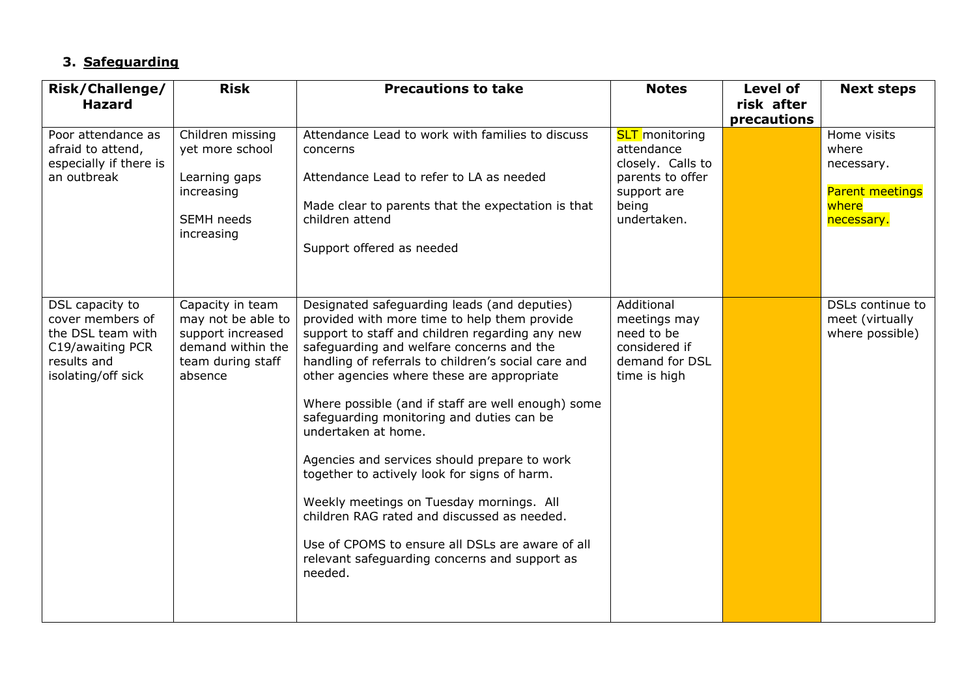## **3. Safeguarding**

| Risk/Challenge/                                                                                                   | <b>Risk</b>                                                                                                      | <b>Precautions to take</b>                                                                                                                                                                                                                                                                                                                                                                                                                                                                                                                                                                                                                                                                                                             | <b>Notes</b>                                                                                                        | <b>Level of</b>           | <b>Next steps</b>                                                                   |
|-------------------------------------------------------------------------------------------------------------------|------------------------------------------------------------------------------------------------------------------|----------------------------------------------------------------------------------------------------------------------------------------------------------------------------------------------------------------------------------------------------------------------------------------------------------------------------------------------------------------------------------------------------------------------------------------------------------------------------------------------------------------------------------------------------------------------------------------------------------------------------------------------------------------------------------------------------------------------------------------|---------------------------------------------------------------------------------------------------------------------|---------------------------|-------------------------------------------------------------------------------------|
| <b>Hazard</b>                                                                                                     |                                                                                                                  |                                                                                                                                                                                                                                                                                                                                                                                                                                                                                                                                                                                                                                                                                                                                        |                                                                                                                     | risk after<br>precautions |                                                                                     |
| Poor attendance as<br>afraid to attend,<br>especially if there is<br>an outbreak                                  | Children missing<br>yet more school<br>Learning gaps<br>increasing<br>SEMH needs<br>increasing                   | Attendance Lead to work with families to discuss<br>concerns<br>Attendance Lead to refer to LA as needed<br>Made clear to parents that the expectation is that<br>children attend<br>Support offered as needed                                                                                                                                                                                                                                                                                                                                                                                                                                                                                                                         | <b>SLT</b> monitoring<br>attendance<br>closely. Calls to<br>parents to offer<br>support are<br>being<br>undertaken. |                           | Home visits<br>where<br>necessary.<br><b>Parent meetings</b><br>where<br>necessary. |
| DSL capacity to<br>cover members of<br>the DSL team with<br>C19/awaiting PCR<br>results and<br>isolating/off sick | Capacity in team<br>may not be able to<br>support increased<br>demand within the<br>team during staff<br>absence | Designated safeguarding leads (and deputies)<br>provided with more time to help them provide<br>support to staff and children regarding any new<br>safeguarding and welfare concerns and the<br>handling of referrals to children's social care and<br>other agencies where these are appropriate<br>Where possible (and if staff are well enough) some<br>safeguarding monitoring and duties can be<br>undertaken at home.<br>Agencies and services should prepare to work<br>together to actively look for signs of harm.<br>Weekly meetings on Tuesday mornings. All<br>children RAG rated and discussed as needed.<br>Use of CPOMS to ensure all DSLs are aware of all<br>relevant safeguarding concerns and support as<br>needed. | Additional<br>meetings may<br>need to be<br>considered if<br>demand for DSL<br>time is high                         |                           | DSLs continue to<br>meet (virtually<br>where possible)                              |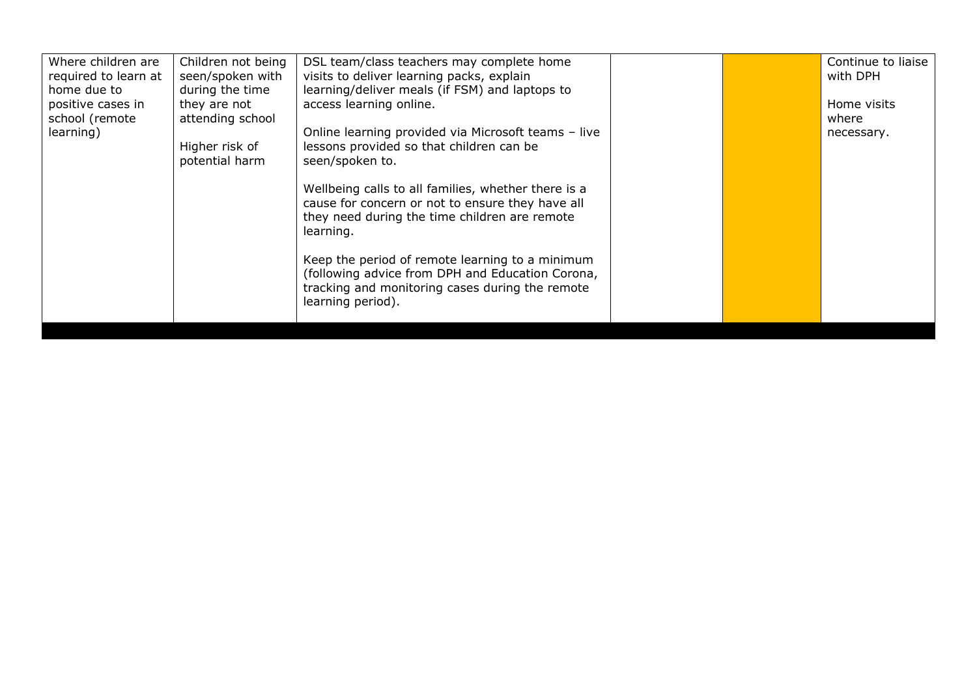| Where children are   | Children not being | DSL team/class teachers may complete home           |  | Continue to liaise |
|----------------------|--------------------|-----------------------------------------------------|--|--------------------|
| required to learn at | seen/spoken with   | visits to deliver learning packs, explain           |  | with DPH           |
| home due to          | during the time    | learning/deliver meals (if FSM) and laptops to      |  |                    |
| positive cases in    | they are not       | access learning online.                             |  | Home visits        |
| school (remote       | attending school   |                                                     |  | where              |
| learning)            |                    | Online learning provided via Microsoft teams - live |  | necessary.         |
|                      | Higher risk of     | lessons provided so that children can be            |  |                    |
|                      | potential harm     | seen/spoken to.                                     |  |                    |
|                      |                    |                                                     |  |                    |
|                      |                    | Wellbeing calls to all families, whether there is a |  |                    |
|                      |                    | cause for concern or not to ensure they have all    |  |                    |
|                      |                    | they need during the time children are remote       |  |                    |
|                      |                    | learning.                                           |  |                    |
|                      |                    |                                                     |  |                    |
|                      |                    | Keep the period of remote learning to a minimum     |  |                    |
|                      |                    | (following advice from DPH and Education Corona,    |  |                    |
|                      |                    | tracking and monitoring cases during the remote     |  |                    |
|                      |                    | learning period).                                   |  |                    |
|                      |                    |                                                     |  |                    |
|                      |                    |                                                     |  |                    |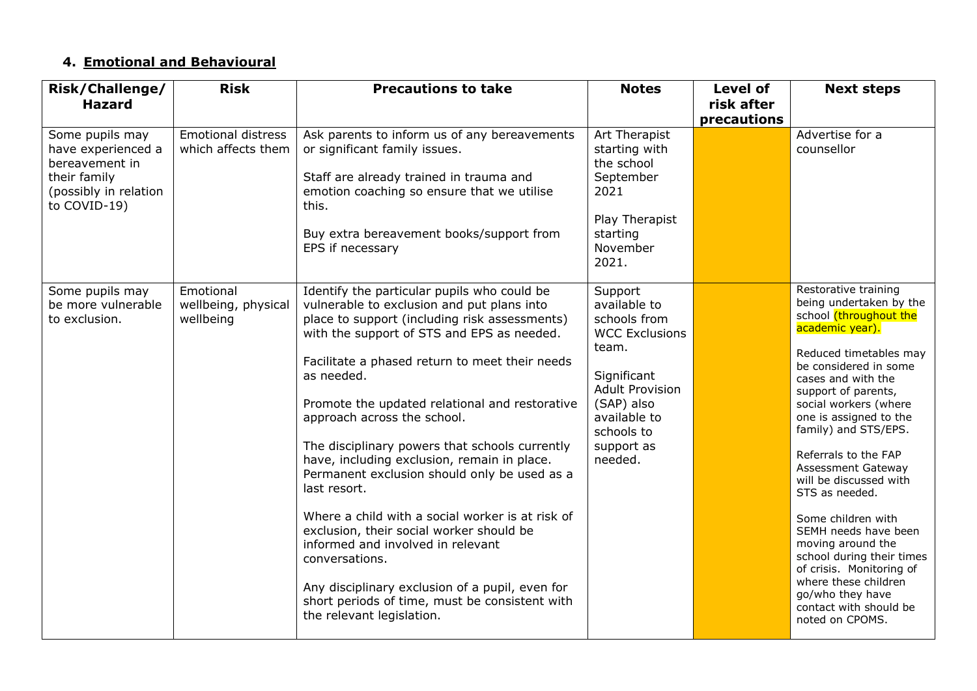# **4. Emotional and Behavioural**

| Risk/Challenge/                                                                                                  | <b>Risk</b>                                     | <b>Precautions to take</b>                                                                                                                                                                                                                                                                                                                                                                                                                                                                                                                                                                                                                                                                                                                                                                          | <b>Notes</b>                                                                                                                                                                            | <b>Level of</b>           | <b>Next steps</b>                                                                                                                                                                                                                                                                                                                                                                                                                                                                                                                                                                             |
|------------------------------------------------------------------------------------------------------------------|-------------------------------------------------|-----------------------------------------------------------------------------------------------------------------------------------------------------------------------------------------------------------------------------------------------------------------------------------------------------------------------------------------------------------------------------------------------------------------------------------------------------------------------------------------------------------------------------------------------------------------------------------------------------------------------------------------------------------------------------------------------------------------------------------------------------------------------------------------------------|-----------------------------------------------------------------------------------------------------------------------------------------------------------------------------------------|---------------------------|-----------------------------------------------------------------------------------------------------------------------------------------------------------------------------------------------------------------------------------------------------------------------------------------------------------------------------------------------------------------------------------------------------------------------------------------------------------------------------------------------------------------------------------------------------------------------------------------------|
| <b>Hazard</b>                                                                                                    |                                                 |                                                                                                                                                                                                                                                                                                                                                                                                                                                                                                                                                                                                                                                                                                                                                                                                     |                                                                                                                                                                                         | risk after<br>precautions |                                                                                                                                                                                                                                                                                                                                                                                                                                                                                                                                                                                               |
| Some pupils may<br>have experienced a<br>bereavement in<br>their family<br>(possibly in relation<br>to COVID-19) | <b>Emotional distress</b><br>which affects them | Ask parents to inform us of any bereavements<br>or significant family issues.<br>Staff are already trained in trauma and<br>emotion coaching so ensure that we utilise<br>this.<br>Buy extra bereavement books/support from<br>EPS if necessary                                                                                                                                                                                                                                                                                                                                                                                                                                                                                                                                                     | Art Therapist<br>starting with<br>the school<br>September<br>2021<br>Play Therapist<br>starting<br>November<br>2021.                                                                    |                           | Advertise for a<br>counsellor                                                                                                                                                                                                                                                                                                                                                                                                                                                                                                                                                                 |
| Some pupils may<br>be more vulnerable<br>to exclusion.                                                           | Emotional<br>wellbeing, physical<br>wellbeing   | Identify the particular pupils who could be<br>vulnerable to exclusion and put plans into<br>place to support (including risk assessments)<br>with the support of STS and EPS as needed.<br>Facilitate a phased return to meet their needs<br>as needed.<br>Promote the updated relational and restorative<br>approach across the school.<br>The disciplinary powers that schools currently<br>have, including exclusion, remain in place.<br>Permanent exclusion should only be used as a<br>last resort.<br>Where a child with a social worker is at risk of<br>exclusion, their social worker should be<br>informed and involved in relevant<br>conversations.<br>Any disciplinary exclusion of a pupil, even for<br>short periods of time, must be consistent with<br>the relevant legislation. | Support<br>available to<br>schools from<br><b>WCC Exclusions</b><br>team.<br>Significant<br><b>Adult Provision</b><br>(SAP) also<br>available to<br>schools to<br>support as<br>needed. |                           | Restorative training<br>being undertaken by the<br>school (throughout the<br>academic year).<br>Reduced timetables may<br>be considered in some<br>cases and with the<br>support of parents,<br>social workers (where<br>one is assigned to the<br>family) and STS/EPS.<br>Referrals to the FAP<br><b>Assessment Gateway</b><br>will be discussed with<br>STS as needed.<br>Some children with<br>SEMH needs have been<br>moving around the<br>school during their times<br>of crisis. Monitoring of<br>where these children<br>go/who they have<br>contact with should be<br>noted on CPOMS. |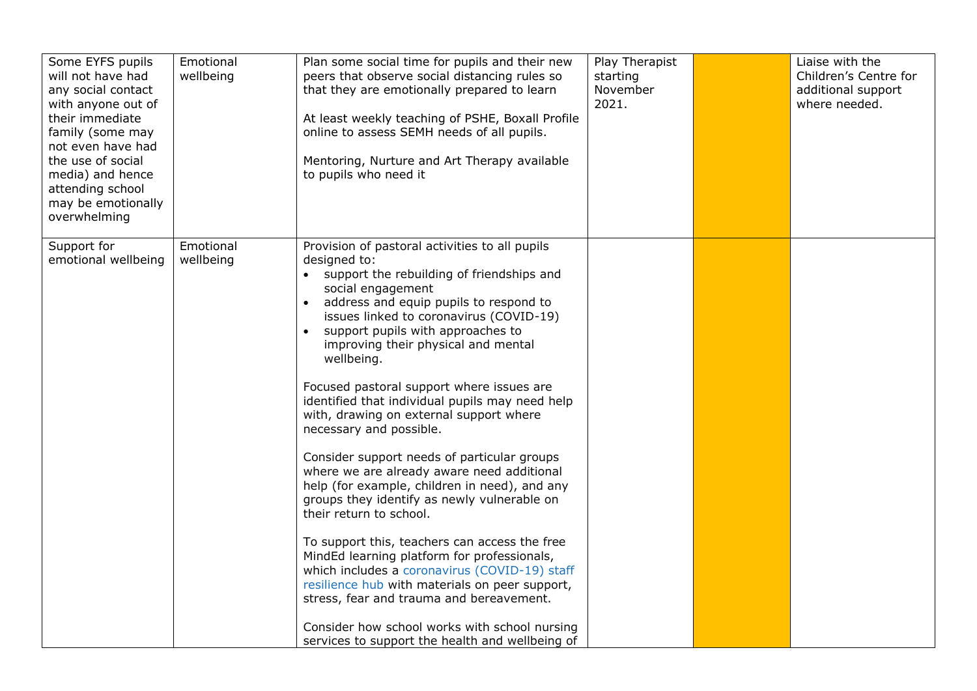| Some EYFS pupils<br>will not have had<br>any social contact<br>with anyone out of<br>their immediate<br>family (some may<br>not even have had<br>the use of social<br>media) and hence<br>attending school<br>may be emotionally<br>overwhelming | Emotional<br>wellbeing | Plan some social time for pupils and their new<br>peers that observe social distancing rules so<br>that they are emotionally prepared to learn<br>At least weekly teaching of PSHE, Boxall Profile<br>online to assess SEMH needs of all pupils.<br>Mentoring, Nurture and Art Therapy available<br>to pupils who need it                                                                                                                                                                                                                                                                                                                                                                                                                                                                                                                                                                                                                                                                                                                                                       | Play Therapist<br>starting<br>November<br>2021. | Liaise with the<br>Children's Centre for<br>additional support<br>where needed. |
|--------------------------------------------------------------------------------------------------------------------------------------------------------------------------------------------------------------------------------------------------|------------------------|---------------------------------------------------------------------------------------------------------------------------------------------------------------------------------------------------------------------------------------------------------------------------------------------------------------------------------------------------------------------------------------------------------------------------------------------------------------------------------------------------------------------------------------------------------------------------------------------------------------------------------------------------------------------------------------------------------------------------------------------------------------------------------------------------------------------------------------------------------------------------------------------------------------------------------------------------------------------------------------------------------------------------------------------------------------------------------|-------------------------------------------------|---------------------------------------------------------------------------------|
| Support for<br>emotional wellbeing                                                                                                                                                                                                               | Emotional<br>wellbeing | Provision of pastoral activities to all pupils<br>designed to:<br>• support the rebuilding of friendships and<br>social engagement<br>address and equip pupils to respond to<br>$\bullet$<br>issues linked to coronavirus (COVID-19)<br>support pupils with approaches to<br>improving their physical and mental<br>wellbeing.<br>Focused pastoral support where issues are<br>identified that individual pupils may need help<br>with, drawing on external support where<br>necessary and possible.<br>Consider support needs of particular groups<br>where we are already aware need additional<br>help (for example, children in need), and any<br>groups they identify as newly vulnerable on<br>their return to school.<br>To support this, teachers can access the free<br>MindEd learning platform for professionals,<br>which includes a coronavirus (COVID-19) staff<br>resilience hub with materials on peer support,<br>stress, fear and trauma and bereavement.<br>Consider how school works with school nursing<br>services to support the health and wellbeing of |                                                 |                                                                                 |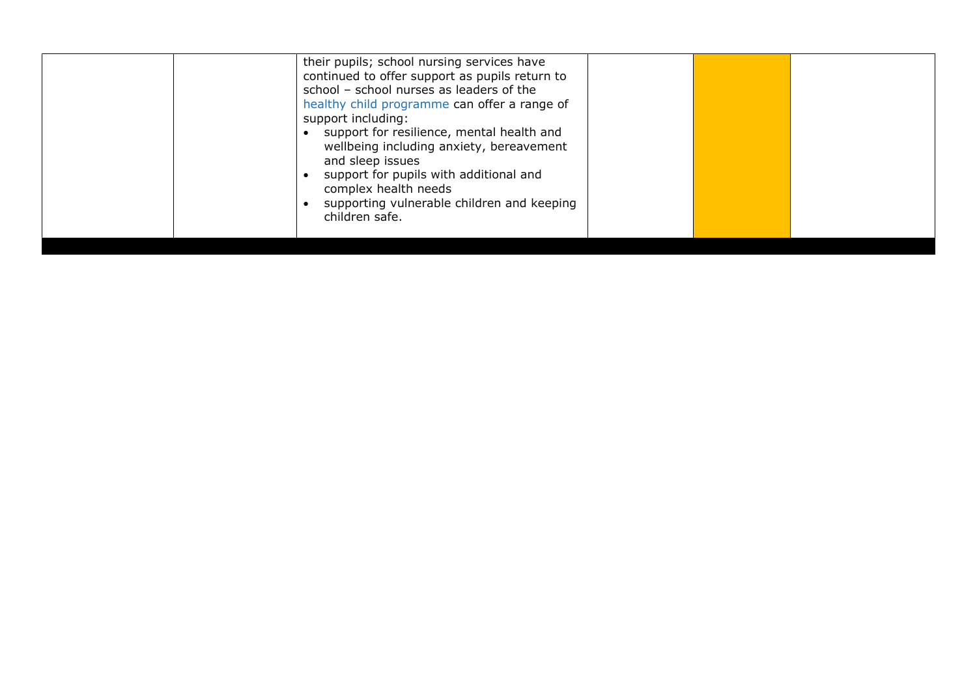| their pupils; school nursing services have<br>continued to offer support as pupils return to<br>school - school nurses as leaders of the<br>healthy child programme can offer a range of<br>support including:<br>support for resilience, mental health and<br>wellbeing including anxiety, bereavement<br>and sleep issues<br>support for pupils with additional and<br>complex health needs<br>supporting vulnerable children and keeping<br>children safe. |
|---------------------------------------------------------------------------------------------------------------------------------------------------------------------------------------------------------------------------------------------------------------------------------------------------------------------------------------------------------------------------------------------------------------------------------------------------------------|
|                                                                                                                                                                                                                                                                                                                                                                                                                                                               |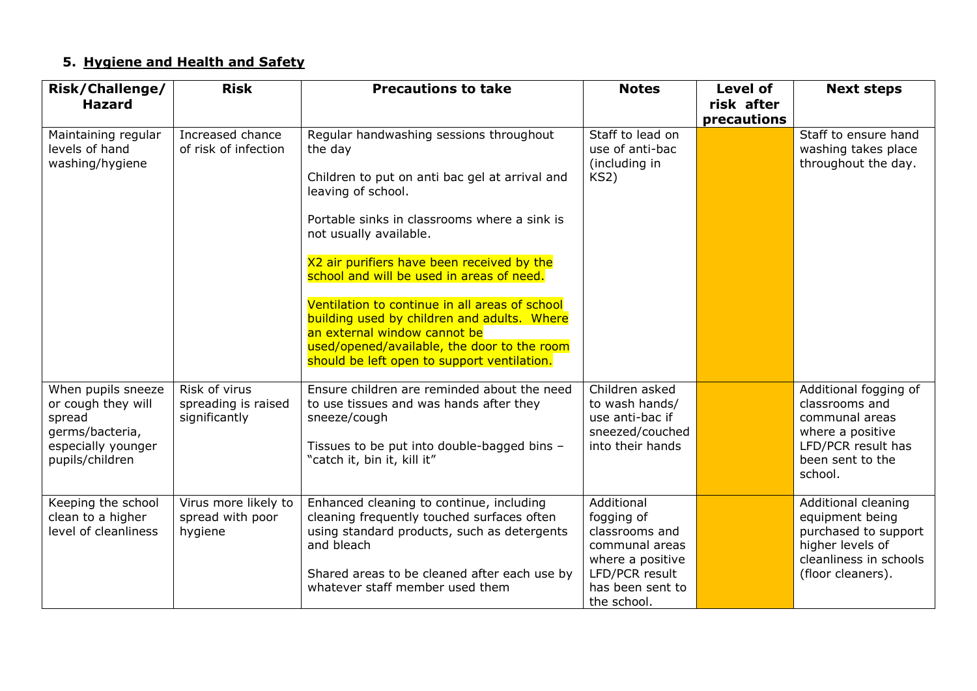# **5. Hygiene and Health and Safety**

| Risk/Challenge/<br><b>Hazard</b>                                                                               | <b>Risk</b>                                           | <b>Precautions to take</b>                                                                                                                                                                                                                                                                                                                                                                                                                                                                                                     | <b>Notes</b>                                                                                                                          | <b>Level of</b><br>risk after | <b>Next steps</b>                                                                                                                  |
|----------------------------------------------------------------------------------------------------------------|-------------------------------------------------------|--------------------------------------------------------------------------------------------------------------------------------------------------------------------------------------------------------------------------------------------------------------------------------------------------------------------------------------------------------------------------------------------------------------------------------------------------------------------------------------------------------------------------------|---------------------------------------------------------------------------------------------------------------------------------------|-------------------------------|------------------------------------------------------------------------------------------------------------------------------------|
| Maintaining regular<br>levels of hand<br>washing/hygiene                                                       | Increased chance<br>of risk of infection              | Regular handwashing sessions throughout<br>the day<br>Children to put on anti bac gel at arrival and<br>leaving of school.<br>Portable sinks in classrooms where a sink is<br>not usually available.<br>X2 air purifiers have been received by the<br>school and will be used in areas of need.<br>Ventilation to continue in all areas of school<br>building used by children and adults. Where<br>an external window cannot be<br>used/opened/available, the door to the room<br>should be left open to support ventilation. | Staff to lead on<br>use of anti-bac<br>(including in<br>KS <sub>2</sub>                                                               | precautions                   | Staff to ensure hand<br>washing takes place<br>throughout the day.                                                                 |
| When pupils sneeze<br>or cough they will<br>spread<br>germs/bacteria,<br>especially younger<br>pupils/children | Risk of virus<br>spreading is raised<br>significantly | Ensure children are reminded about the need<br>to use tissues and was hands after they<br>sneeze/cough<br>Tissues to be put into double-bagged bins -<br>"catch it, bin it, kill it"                                                                                                                                                                                                                                                                                                                                           | Children asked<br>to wash hands/<br>use anti-bac if<br>sneezed/couched<br>into their hands                                            |                               | Additional fogging of<br>classrooms and<br>communal areas<br>where a positive<br>LFD/PCR result has<br>been sent to the<br>school. |
| Keeping the school<br>clean to a higher<br>level of cleanliness                                                | Virus more likely to<br>spread with poor<br>hygiene   | Enhanced cleaning to continue, including<br>cleaning frequently touched surfaces often<br>using standard products, such as detergents<br>and bleach<br>Shared areas to be cleaned after each use by<br>whatever staff member used them                                                                                                                                                                                                                                                                                         | Additional<br>fogging of<br>classrooms and<br>communal areas<br>where a positive<br>LFD/PCR result<br>has been sent to<br>the school. |                               | Additional cleaning<br>equipment being<br>purchased to support<br>higher levels of<br>cleanliness in schools<br>(floor cleaners).  |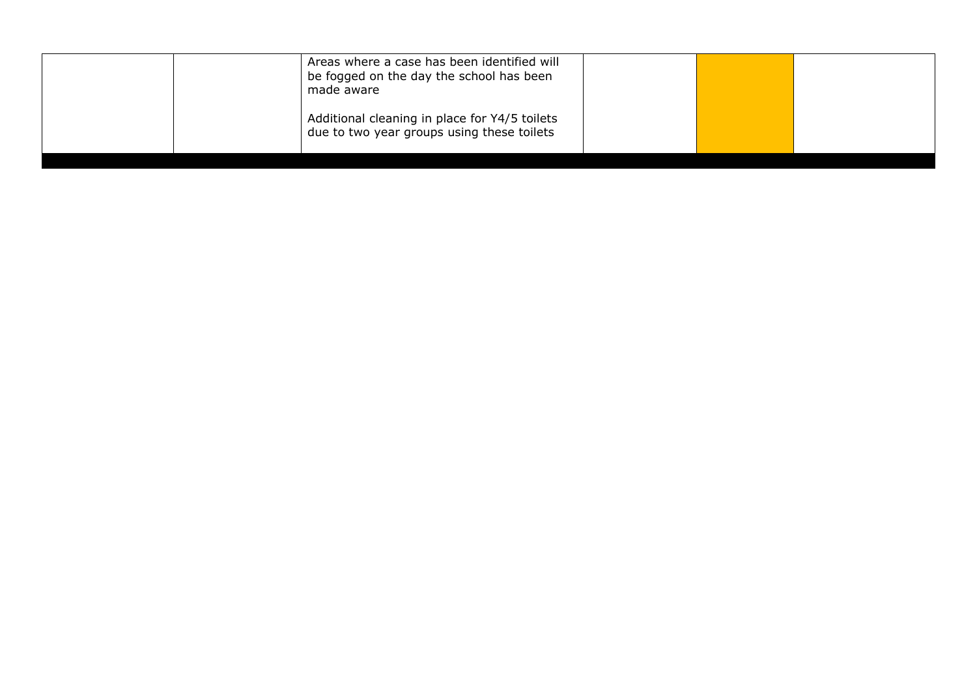| be fogged on the day the school has been<br>made aware                                      |  |  |
|---------------------------------------------------------------------------------------------|--|--|
| Additional cleaning in place for Y4/5 toilets<br>due to two year groups using these toilets |  |  |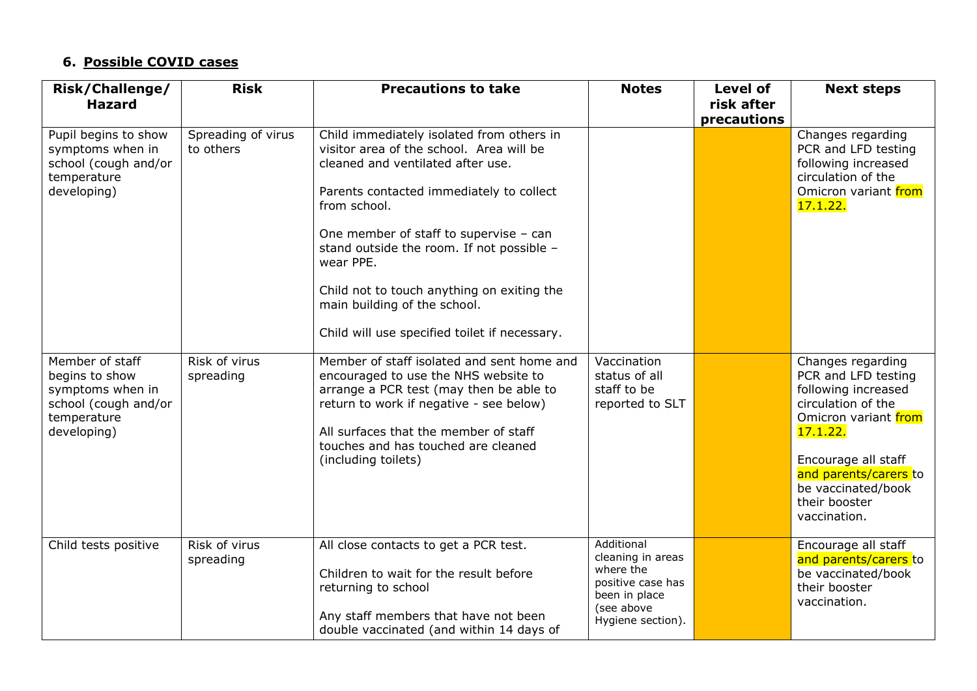### **6. Possible COVID cases**

| Risk/Challenge/<br><b>Hazard</b>                                                                            | <b>Risk</b>                     | <b>Precautions to take</b>                                                                                                                                                                                                                                                                                                                                                                                                | <b>Notes</b>                                                                                                          | <b>Level of</b><br>risk after<br>precautions | <b>Next steps</b>                                                                                                                                                                                                                |
|-------------------------------------------------------------------------------------------------------------|---------------------------------|---------------------------------------------------------------------------------------------------------------------------------------------------------------------------------------------------------------------------------------------------------------------------------------------------------------------------------------------------------------------------------------------------------------------------|-----------------------------------------------------------------------------------------------------------------------|----------------------------------------------|----------------------------------------------------------------------------------------------------------------------------------------------------------------------------------------------------------------------------------|
| Pupil begins to show<br>symptoms when in<br>school (cough and/or<br>temperature<br>developing)              | Spreading of virus<br>to others | Child immediately isolated from others in<br>visitor area of the school. Area will be<br>cleaned and ventilated after use.<br>Parents contacted immediately to collect<br>from school.<br>One member of staff to supervise - can<br>stand outside the room. If not possible -<br>wear PPE.<br>Child not to touch anything on exiting the<br>main building of the school.<br>Child will use specified toilet if necessary. |                                                                                                                       |                                              | Changes regarding<br>PCR and LFD testing<br>following increased<br>circulation of the<br>Omicron variant from<br>17.1.22.                                                                                                        |
| Member of staff<br>begins to show<br>symptoms when in<br>school (cough and/or<br>temperature<br>developing) | Risk of virus<br>spreading      | Member of staff isolated and sent home and<br>encouraged to use the NHS website to<br>arrange a PCR test (may then be able to<br>return to work if negative - see below)<br>All surfaces that the member of staff<br>touches and has touched are cleaned<br>(including toilets)                                                                                                                                           | Vaccination<br>status of all<br>staff to be<br>reported to SLT                                                        |                                              | Changes regarding<br>PCR and LFD testing<br>following increased<br>circulation of the<br>Omicron variant from<br>17.1.22.<br>Encourage all staff<br>and parents/carers to<br>be vaccinated/book<br>their booster<br>vaccination. |
| Child tests positive                                                                                        | Risk of virus<br>spreading      | All close contacts to get a PCR test.<br>Children to wait for the result before<br>returning to school<br>Any staff members that have not been<br>double vaccinated (and within 14 days of                                                                                                                                                                                                                                | Additional<br>cleaning in areas<br>where the<br>positive case has<br>been in place<br>(see above<br>Hygiene section). |                                              | Encourage all staff<br>and parents/carers to<br>be vaccinated/book<br>their booster<br>vaccination.                                                                                                                              |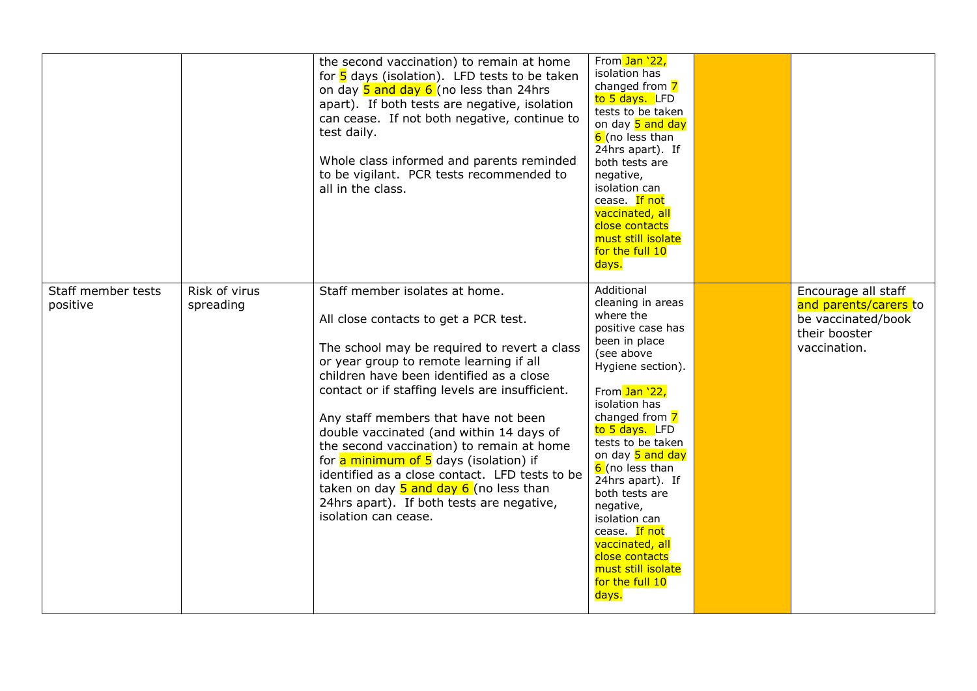|                                |                            | the second vaccination) to remain at home<br>for $\frac{5}{5}$ days (isolation). LFD tests to be taken<br>on day 5 and day 6 (no less than 24hrs<br>apart). If both tests are negative, isolation<br>can cease. If not both negative, continue to<br>test daily.<br>Whole class informed and parents reminded<br>to be vigilant. PCR tests recommended to<br>all in the class.                                                                                                                                                                                                                                    | From Jan '22,<br>isolation has<br>changed from 7<br>to 5 days. LFD<br>tests to be taken<br>on day 5 and day<br>6 (no less than<br>24hrs apart). If<br>both tests are<br>negative,<br>isolation can<br>cease. If not<br>vaccinated, all<br>close contacts<br>must still isolate<br>for the full 10<br>days.                                                                                                                          |                                                                                                     |
|--------------------------------|----------------------------|-------------------------------------------------------------------------------------------------------------------------------------------------------------------------------------------------------------------------------------------------------------------------------------------------------------------------------------------------------------------------------------------------------------------------------------------------------------------------------------------------------------------------------------------------------------------------------------------------------------------|-------------------------------------------------------------------------------------------------------------------------------------------------------------------------------------------------------------------------------------------------------------------------------------------------------------------------------------------------------------------------------------------------------------------------------------|-----------------------------------------------------------------------------------------------------|
| Staff member tests<br>positive | Risk of virus<br>spreading | Staff member isolates at home.<br>All close contacts to get a PCR test.<br>The school may be required to revert a class<br>or year group to remote learning if all<br>children have been identified as a close<br>contact or if staffing levels are insufficient.<br>Any staff members that have not been<br>double vaccinated (and within 14 days of<br>the second vaccination) to remain at home<br>for a minimum of 5 days (isolation) if<br>identified as a close contact. LFD tests to be<br>taken on day $5$ and day $6$ (no less than<br>24hrs apart). If both tests are negative,<br>isolation can cease. | Additional<br>cleaning in areas<br>where the<br>positive case has<br>been in place<br>(see above<br>Hygiene section).<br>From Jan '22,<br>isolation has<br>changed from 7<br>to 5 days. LFD<br>tests to be taken<br>on day 5 and day<br>6 (no less than<br>24hrs apart). If<br>both tests are<br>negative,<br>isolation can<br>cease. If not<br>vaccinated, all<br>close contacts<br>must still isolate<br>for the full 10<br>days. | Encourage all staff<br>and parents/carers to<br>be vaccinated/book<br>their booster<br>vaccination. |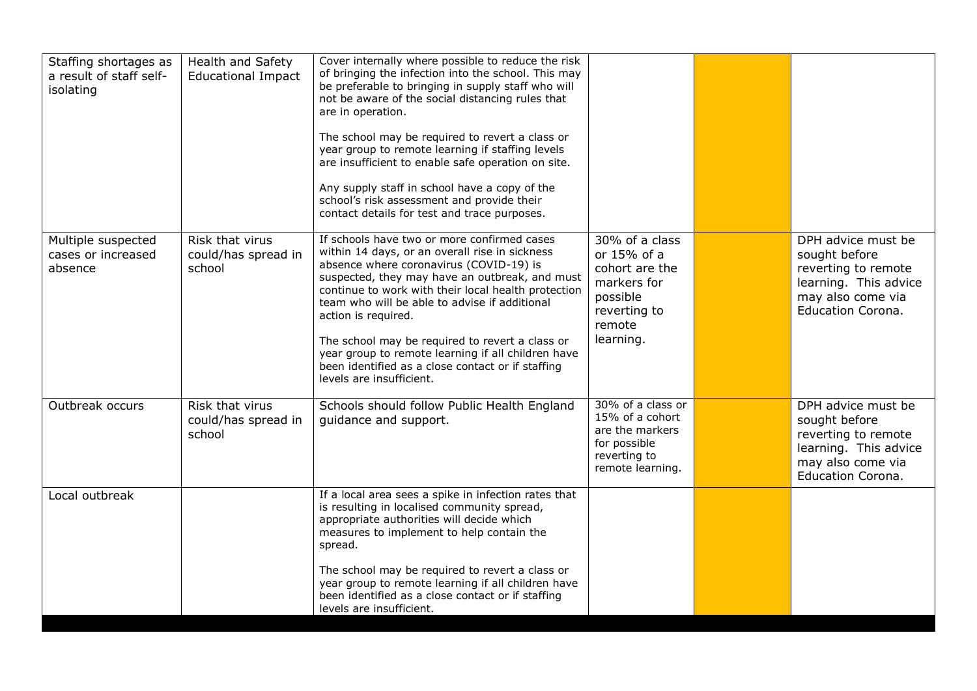| Staffing shortages as<br>a result of staff self-<br>isolating | Health and Safety<br><b>Educational Impact</b>   | Cover internally where possible to reduce the risk<br>of bringing the infection into the school. This may<br>be preferable to bringing in supply staff who will<br>not be aware of the social distancing rules that<br>are in operation.<br>The school may be required to revert a class or<br>year group to remote learning if staffing levels<br>are insufficient to enable safe operation on site.<br>Any supply staff in school have a copy of the<br>school's risk assessment and provide their<br>contact details for test and trace purposes. |                                                                                                                   |                                                                                                                                      |
|---------------------------------------------------------------|--------------------------------------------------|------------------------------------------------------------------------------------------------------------------------------------------------------------------------------------------------------------------------------------------------------------------------------------------------------------------------------------------------------------------------------------------------------------------------------------------------------------------------------------------------------------------------------------------------------|-------------------------------------------------------------------------------------------------------------------|--------------------------------------------------------------------------------------------------------------------------------------|
| Multiple suspected<br>cases or increased<br>absence           | Risk that virus<br>could/has spread in<br>school | If schools have two or more confirmed cases<br>within 14 days, or an overall rise in sickness<br>absence where coronavirus (COVID-19) is<br>suspected, they may have an outbreak, and must<br>continue to work with their local health protection<br>team who will be able to advise if additional<br>action is required.<br>The school may be required to revert a class or<br>year group to remote learning if all children have<br>been identified as a close contact or if staffing<br>levels are insufficient.                                  | 30% of a class<br>or 15% of a<br>cohort are the<br>markers for<br>possible<br>reverting to<br>remote<br>learning. | DPH advice must be<br>sought before<br>reverting to remote<br>learning. This advice<br>may also come via<br><b>Education Corona.</b> |
| Outbreak occurs                                               | Risk that virus<br>could/has spread in<br>school | Schools should follow Public Health England<br>guidance and support.                                                                                                                                                                                                                                                                                                                                                                                                                                                                                 | 30% of a class or<br>15% of a cohort<br>are the markers<br>for possible<br>reverting to<br>remote learning.       | DPH advice must be<br>sought before<br>reverting to remote<br>learning. This advice<br>may also come via<br><b>Education Corona.</b> |
| Local outbreak                                                |                                                  | If a local area sees a spike in infection rates that<br>is resulting in localised community spread,<br>appropriate authorities will decide which<br>measures to implement to help contain the<br>spread.<br>The school may be required to revert a class or<br>year group to remote learning if all children have<br>been identified as a close contact or if staffing<br>levels are insufficient.                                                                                                                                                   |                                                                                                                   |                                                                                                                                      |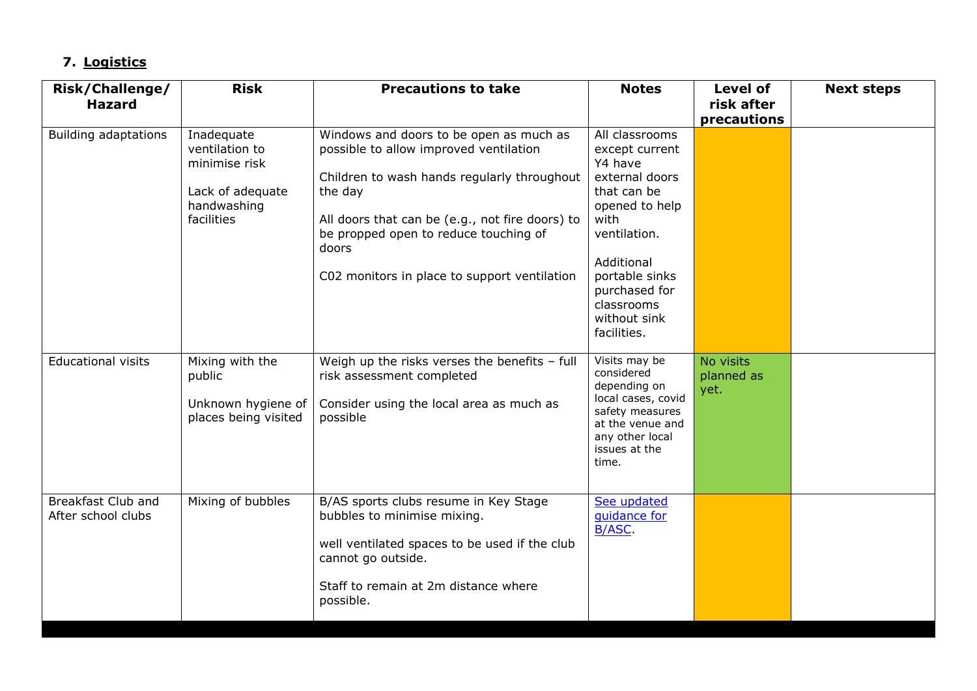# **7. Logistics**

| <b>Risk/Challenge/</b><br><b>Hazard</b>  | <b>Risk</b>                                                                                    | <b>Precautions to take</b>                                                                                                                                                                                                                                                                       | <b>Notes</b>                                                                                                                                                                                                         | <b>Level of</b><br>risk after   | <b>Next steps</b> |
|------------------------------------------|------------------------------------------------------------------------------------------------|--------------------------------------------------------------------------------------------------------------------------------------------------------------------------------------------------------------------------------------------------------------------------------------------------|----------------------------------------------------------------------------------------------------------------------------------------------------------------------------------------------------------------------|---------------------------------|-------------------|
|                                          |                                                                                                |                                                                                                                                                                                                                                                                                                  |                                                                                                                                                                                                                      | precautions                     |                   |
| <b>Building adaptations</b>              | Inadequate<br>ventilation to<br>minimise risk<br>Lack of adequate<br>handwashing<br>facilities | Windows and doors to be open as much as<br>possible to allow improved ventilation<br>Children to wash hands regularly throughout<br>the day<br>All doors that can be (e.g., not fire doors) to<br>be propped open to reduce touching of<br>doors<br>C02 monitors in place to support ventilation | All classrooms<br>except current<br>Y4 have<br>external doors<br>that can be<br>opened to help<br>with<br>ventilation.<br>Additional<br>portable sinks<br>purchased for<br>classrooms<br>without sink<br>facilities. |                                 |                   |
| <b>Educational visits</b>                | Mixing with the<br>public<br>Unknown hygiene of<br>places being visited                        | Weigh up the risks verses the benefits - full<br>risk assessment completed<br>Consider using the local area as much as<br>possible                                                                                                                                                               | Visits may be<br>considered<br>depending on<br>local cases, covid<br>safety measures<br>at the venue and<br>any other local<br>issues at the<br>time.                                                                | No visits<br>planned as<br>yet. |                   |
| Breakfast Club and<br>After school clubs | Mixing of bubbles                                                                              | B/AS sports clubs resume in Key Stage<br>bubbles to minimise mixing.<br>well ventilated spaces to be used if the club<br>cannot go outside.<br>Staff to remain at 2m distance where<br>possible.                                                                                                 | See updated<br>quidance for<br><b>B/ASC</b>                                                                                                                                                                          |                                 |                   |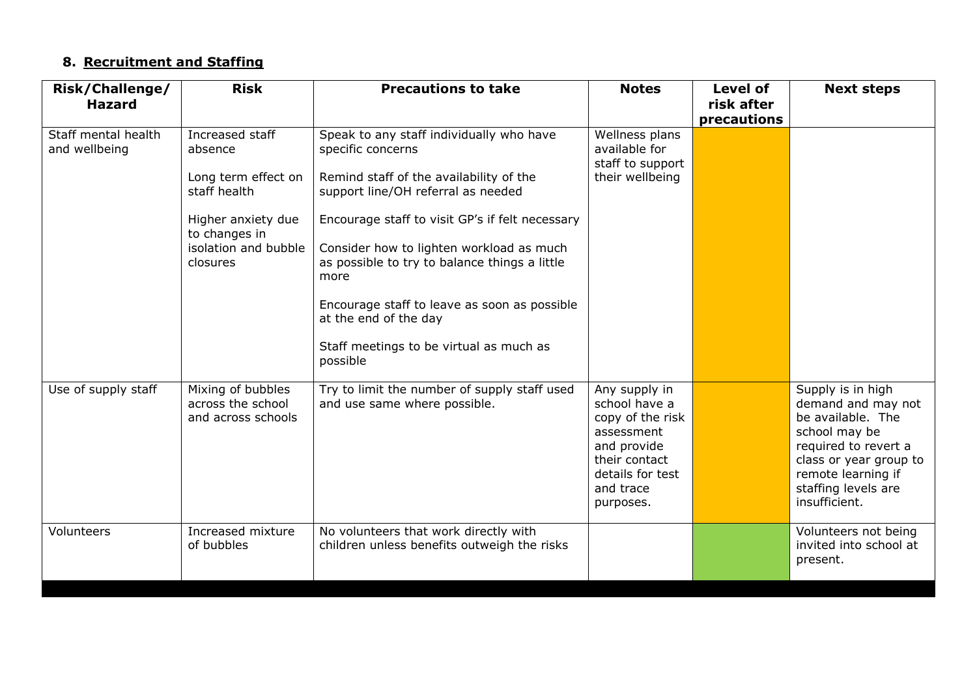### **8. Recruitment and Staffing**

| Risk/Challenge/<br><b>Hazard</b>     | <b>Risk</b>                                                                                                                                  | <b>Precautions to take</b>                                                                                                                                                                                                                                                                                                                                                                                                             | <b>Notes</b>                                                                                                                                   | <b>Level of</b><br>risk after<br>precautions | <b>Next steps</b>                                                                                                                                                                             |
|--------------------------------------|----------------------------------------------------------------------------------------------------------------------------------------------|----------------------------------------------------------------------------------------------------------------------------------------------------------------------------------------------------------------------------------------------------------------------------------------------------------------------------------------------------------------------------------------------------------------------------------------|------------------------------------------------------------------------------------------------------------------------------------------------|----------------------------------------------|-----------------------------------------------------------------------------------------------------------------------------------------------------------------------------------------------|
| Staff mental health<br>and wellbeing | Increased staff<br>absence<br>Long term effect on<br>staff health<br>Higher anxiety due<br>to changes in<br>isolation and bubble<br>closures | Speak to any staff individually who have<br>specific concerns<br>Remind staff of the availability of the<br>support line/OH referral as needed<br>Encourage staff to visit GP's if felt necessary<br>Consider how to lighten workload as much<br>as possible to try to balance things a little<br>more<br>Encourage staff to leave as soon as possible<br>at the end of the day<br>Staff meetings to be virtual as much as<br>possible | Wellness plans<br>available for<br>staff to support<br>their wellbeing                                                                         |                                              |                                                                                                                                                                                               |
| Use of supply staff                  | Mixing of bubbles<br>across the school<br>and across schools                                                                                 | Try to limit the number of supply staff used<br>and use same where possible.                                                                                                                                                                                                                                                                                                                                                           | Any supply in<br>school have a<br>copy of the risk<br>assessment<br>and provide<br>their contact<br>details for test<br>and trace<br>purposes. |                                              | Supply is in high<br>demand and may not<br>be available. The<br>school may be<br>required to revert a<br>class or year group to<br>remote learning if<br>staffing levels are<br>insufficient. |
| Volunteers                           | Increased mixture<br>of bubbles                                                                                                              | No volunteers that work directly with<br>children unless benefits outweigh the risks                                                                                                                                                                                                                                                                                                                                                   |                                                                                                                                                |                                              | Volunteers not being<br>invited into school at<br>present.                                                                                                                                    |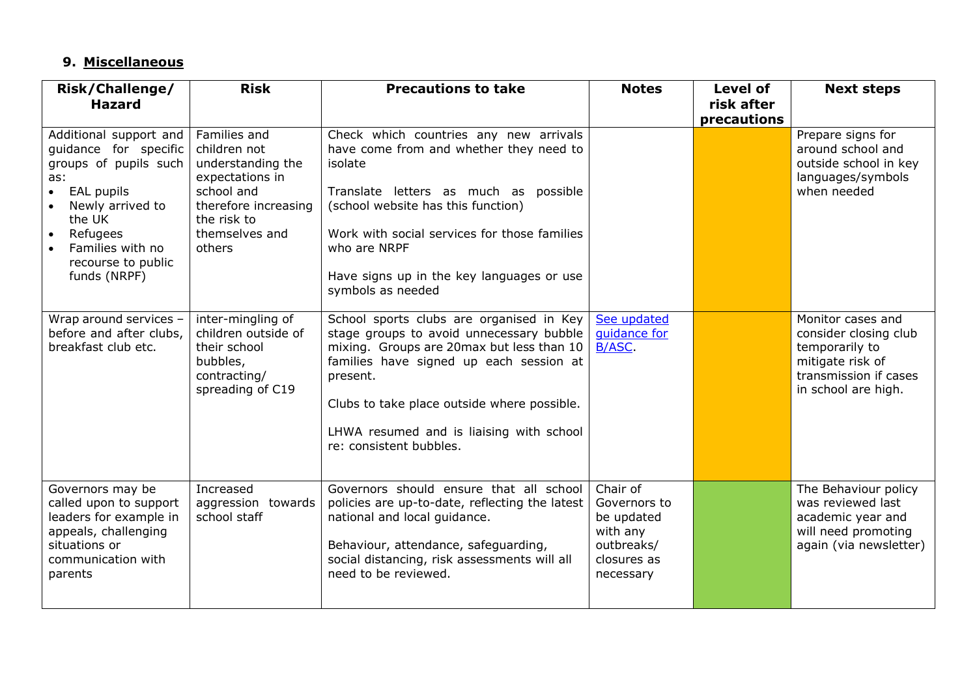### **9. Miscellaneous**

| <b>Risk/Challenge/</b><br><b>Hazard</b>                                                                                                                                                           | <b>Risk</b>                                                                                                                                           | <b>Precautions to take</b>                                                                                                                                                                                                                                                                                     | <b>Notes</b>                                                                                 | <b>Level of</b><br>risk after<br>precautions | <b>Next steps</b>                                                                                                                |
|---------------------------------------------------------------------------------------------------------------------------------------------------------------------------------------------------|-------------------------------------------------------------------------------------------------------------------------------------------------------|----------------------------------------------------------------------------------------------------------------------------------------------------------------------------------------------------------------------------------------------------------------------------------------------------------------|----------------------------------------------------------------------------------------------|----------------------------------------------|----------------------------------------------------------------------------------------------------------------------------------|
| Additional support and<br>guidance for specific<br>groups of pupils such<br>as:<br>EAL pupils<br>Newly arrived to<br>the UK<br>Refugees<br>Families with no<br>recourse to public<br>funds (NRPF) | Families and<br>children not<br>understanding the<br>expectations in<br>school and<br>therefore increasing<br>the risk to<br>themselves and<br>others | Check which countries any new arrivals<br>have come from and whether they need to<br>isolate<br>Translate letters as much as possible<br>(school website has this function)<br>Work with social services for those families<br>who are NRPF<br>Have signs up in the key languages or use<br>symbols as needed  |                                                                                              |                                              | Prepare signs for<br>around school and<br>outside school in key<br>languages/symbols<br>when needed                              |
| Wrap around services -<br>before and after clubs,<br>breakfast club etc.                                                                                                                          | inter-mingling of<br>children outside of<br>their school<br>bubbles,<br>contracting/<br>spreading of C19                                              | School sports clubs are organised in Key<br>stage groups to avoid unnecessary bubble<br>mixing. Groups are 20max but less than 10<br>families have signed up each session at<br>present.<br>Clubs to take place outside where possible.<br>LHWA resumed and is liaising with school<br>re: consistent bubbles. | See updated<br>quidance for<br><b>B/ASC</b>                                                  |                                              | Monitor cases and<br>consider closing club<br>temporarily to<br>mitigate risk of<br>transmission if cases<br>in school are high. |
| Governors may be<br>called upon to support<br>leaders for example in<br>appeals, challenging<br>situations or<br>communication with<br>parents                                                    | Increased<br>aggression towards<br>school staff                                                                                                       | Governors should ensure that all school<br>policies are up-to-date, reflecting the latest<br>national and local guidance.<br>Behaviour, attendance, safeguarding,<br>social distancing, risk assessments will all<br>need to be reviewed.                                                                      | Chair of<br>Governors to<br>be updated<br>with any<br>outbreaks/<br>closures as<br>necessary |                                              | The Behaviour policy<br>was reviewed last<br>academic year and<br>will need promoting<br>again (via newsletter)                  |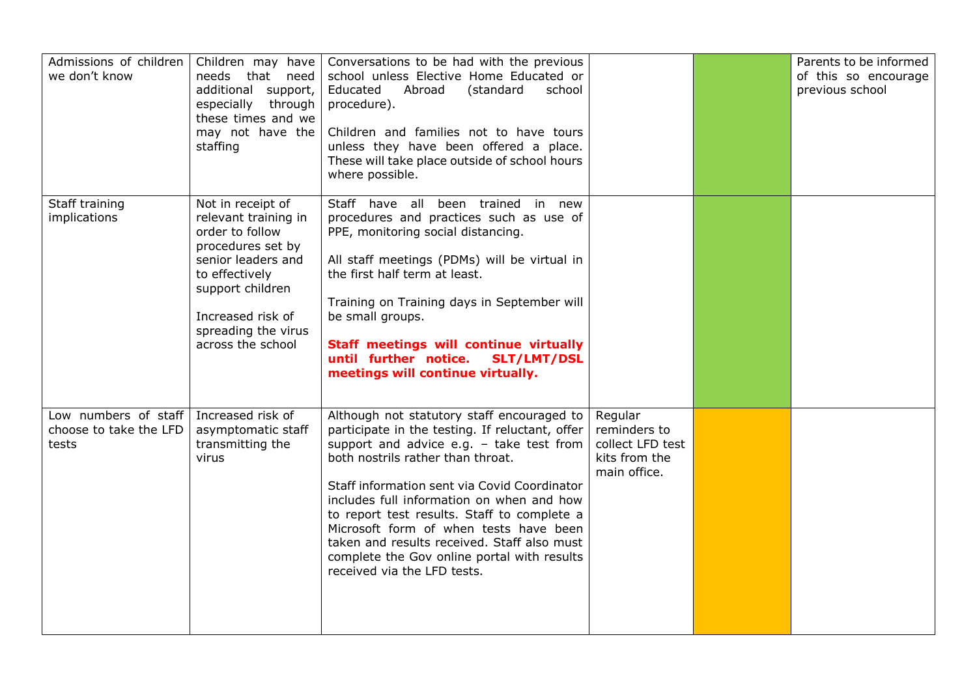| Admissions of children<br>we don't know                 | Children may have<br>needs that need<br>additional support,<br>especially through<br>these times and we<br>may not have the<br>staffing                                                                        | Conversations to be had with the previous<br>school unless Elective Home Educated or<br>Educated<br>Abroad<br>(standard<br>school<br>procedure).<br>Children and families not to have tours<br>unless they have been offered a place.<br>These will take place outside of school hours<br>where possible.                                                                                                                                                                                         |                                                                              | Parents to be informed<br>of this so encourage<br>previous school |
|---------------------------------------------------------|----------------------------------------------------------------------------------------------------------------------------------------------------------------------------------------------------------------|---------------------------------------------------------------------------------------------------------------------------------------------------------------------------------------------------------------------------------------------------------------------------------------------------------------------------------------------------------------------------------------------------------------------------------------------------------------------------------------------------|------------------------------------------------------------------------------|-------------------------------------------------------------------|
| Staff training<br>implications                          | Not in receipt of<br>relevant training in<br>order to follow<br>procedures set by<br>senior leaders and<br>to effectively<br>support children<br>Increased risk of<br>spreading the virus<br>across the school | Staff have all been trained in new<br>procedures and practices such as use of<br>PPE, monitoring social distancing.<br>All staff meetings (PDMs) will be virtual in<br>the first half term at least.<br>Training on Training days in September will<br>be small groups.<br>Staff meetings will continue virtually<br>until further notice.<br><b>SLT/LMT/DSL</b><br>meetings will continue virtually.                                                                                             |                                                                              |                                                                   |
| Low numbers of staff<br>choose to take the LFD<br>tests | Increased risk of<br>asymptomatic staff<br>transmitting the<br>virus                                                                                                                                           | Although not statutory staff encouraged to<br>participate in the testing. If reluctant, offer<br>support and advice e.g. - take test from<br>both nostrils rather than throat.<br>Staff information sent via Covid Coordinator<br>includes full information on when and how<br>to report test results. Staff to complete a<br>Microsoft form of when tests have been<br>taken and results received. Staff also must<br>complete the Gov online portal with results<br>received via the LFD tests. | Regular<br>reminders to<br>collect LFD test<br>kits from the<br>main office. |                                                                   |